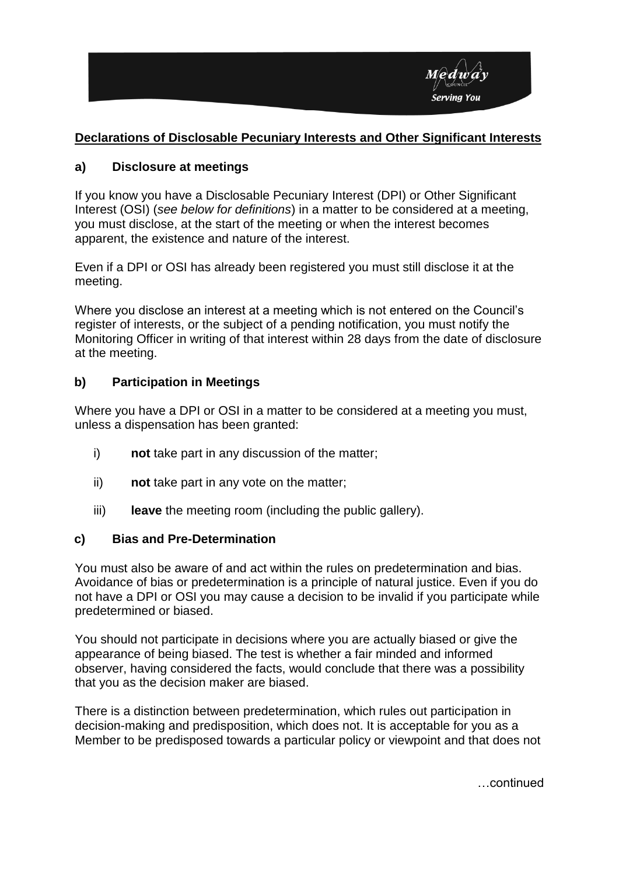

## **Declarations of Disclosable Pecuniary Interests and Other Significant Interests**

### **a) Disclosure at meetings**

If you know you have a Disclosable Pecuniary Interest (DPI) or Other Significant Interest (OSI) (*see below for definitions*) in a matter to be considered at a meeting, you must disclose, at the start of the meeting or when the interest becomes apparent, the existence and nature of the interest.

Even if a DPI or OSI has already been registered you must still disclose it at the meeting.

Where you disclose an interest at a meeting which is not entered on the Council's register of interests, or the subject of a pending notification, you must notify the Monitoring Officer in writing of that interest within 28 days from the date of disclosure at the meeting.

### **b) Participation in Meetings**

Where you have a DPI or OSI in a matter to be considered at a meeting you must, unless a dispensation has been granted:

- i) **not** take part in any discussion of the matter;
- ii) **not** take part in any vote on the matter;
- iii) **leave** the meeting room (including the public gallery).

#### **c) Bias and Pre-Determination**

You must also be aware of and act within the rules on predetermination and bias. Avoidance of bias or predetermination is a principle of natural justice. Even if you do not have a DPI or OSI you may cause a decision to be invalid if you participate while predetermined or biased.

You should not participate in decisions where you are actually biased or give the appearance of being biased. The test is whether a fair minded and informed observer, having considered the facts, would conclude that there was a possibility that you as the decision maker are biased.

There is a distinction between predetermination, which rules out participation in decision-making and predisposition, which does not. It is acceptable for you as a Member to be predisposed towards a particular policy or viewpoint and that does not

…continued